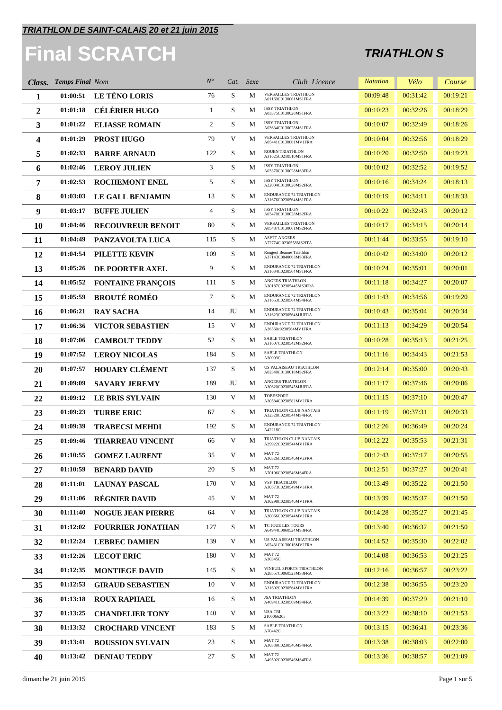## **Final SCRATCH**

| Class.         | <b>Temps Final Nom</b> |                          | $N^{\circ}$    |             | Cat. Sexe | Club Licence                                          | <b>Natation</b> | Vélo     | Course   |
|----------------|------------------------|--------------------------|----------------|-------------|-----------|-------------------------------------------------------|-----------------|----------|----------|
| 1              | 01:00:51               | LE TÉNO LORIS            | 76             | S           | М         | <b>VERSAILLES TRIATHLON</b><br>A01169C0130061MS1FRA   | 00:09:48        | 00:31:42 | 00:19:21 |
| $\overline{2}$ | 01:01:18               | <b>CÉLÈRIER HUGO</b>     | $\mathbf{1}$   | S           | М         | <b>ISSY TRIATHLON</b><br>A03375C0130028MS1FRA         | 00:10:23        | 00:32:26 | 00:18:29 |
| 3              | 01:01:22               | <b>ELIASSE ROMAIN</b>    | 2              | $\mathbf S$ | М         | <b>ISSY TRIATHLON</b><br>A03634C0130028MS1FRA         | 00:10:07        | 00:32:49 | 00:18:26 |
| 4              | 01:01:29               | <b>PROST HUGO</b>        | 79             | V           | М         | <b>VERSAILLES TRIATHLON</b><br>A05441C0130061MV1FRA   | 00:10:04        | 00:32:56 | 00:18:29 |
| 5              | 01:02:33               | <b>BARRE ARNAUD</b>      | 122            | S           | М         | ROUEN TRIATHLON<br>A31625C0210510MS1FRA               | 00:10:20        | 00:32:50 | 00:19:23 |
| 6              | 01:02:46               | <b>LEROY JULIEN</b>      | 3              | S           | М         | <b>ISSY TRIATHLON</b><br>A03370C0130028MS3FRA         | 00:10:02        | 00:32:52 | 00:19:52 |
| 7              | 01:02:53               | <b>ROCHEMONT ENEL</b>    | 5              | S           | М         | <b>ISSY TRIATHLON</b><br>A22004C0130028MS2FRA         | 00:10:16        | 00:34:24 | 00:18:13 |
| 8              | 01:03:03               | <b>LE GALL BENJAMIN</b>  | 13             | S           | М         | <b>ENDURANCE 72 TRIATHLON</b><br>A31676C0230564MS1FRA | 00:10:19        | 00:34:11 | 00:18:33 |
| 9              | 01:03:17               | <b>BUFFE JULIEN</b>      | $\overline{4}$ | $\mathbf S$ | М         | <b>ISSY TRIATHLON</b><br>A03470C0130028MS2FRA         | 00:10:22        | 00:32:43 | 00:20:12 |
| 10             | 01:04:46               | <b>RECOUVREUR BENOIT</b> | 80             | S           | М         | <b>VERSAILLES TRIATHLON</b><br>A05487C0130061MS2FRA   | 00:10:17        | 00:34:15 | 00:20:14 |
| 11             | 01:04:49               | PANZAVOLTA LUCA          | 115            | S           | М         | <b>ASPTT ANGERS</b><br>A72774C 0230558MS2ITA          | 00:11:44        | 00:33:55 | 00:19:10 |
| 12             | 01:04:54               | <b>PILETTE KEVIN</b>     | 109            | $\mathbf S$ | М         | Rougeot Beaune Triathlon<br>A37143C0040663MS3FRA      | 00:10:42        | 00:34:00 | 00:20:12 |
| 13             | 01:05:26               | DE POORTER AXEL          | 9              | S           | M         | <b>ENDURANCE 72 TRIATHLON</b><br>A31634C0230564MS1FRA | 00:10:24        | 00:35:01 | 00:20:01 |
| 14             | 01:05:52               | <b>FONTAINE FRANÇOIS</b> | 111            | S           | М         | ANGERS TRIATHLON<br>A30187C02305445MS3FRA             | 00:11:18        | 00:34:27 | 00:20:07 |
| 15             | 01:05:59               | <b>BROUTÉ ROMÉO</b>      | $\tau$         | S           | М         | ENDURANCE 72 TRIATHLON<br>A31653C0230564MS4FRA        | 00:11:43        | 00:34:56 | 00:19:20 |
| 16             | 01:06:21               | <b>RAY SACHA</b>         | 14             | JU          | М         | <b>ENDURANCE 72 TRIATHLON</b><br>A31623C0230564MJUFRA | 00:10:43        | 00:35:04 | 00:20:34 |
| 17             | 01:06:36               | <b>VICTOR SEBASTIEN</b>  | 15             | V           | М         | ENDURANCE 72 TRIATHLON<br>A26560c0230564MV1FRA        | 00:11:13        | 00:34:29 | 00:20:54 |
| 18             | 01:07:06               | <b>CAMBOUT TEDDY</b>     | 52             | S           | М         | <b>SABLE TRIATHLON</b><br>A31607C0230542MS2FRA        | 00:10:28        | 00:35:13 | 00:21:25 |
| 19             | 01:07:52               | <b>LEROY NICOLAS</b>     | 184            | S           | M         | SABLE TRIATHLON<br>A30093C                            | 00:11:16        | 00:34:43 | 00:21:53 |
| 20             | 01:07:57               | <b>HOUARY CLÉMENT</b>    | 137            | S           | М         | US PALAISEAU TRIATHLON<br>A02340C0130018MS2FRA        | 00:12:14        | 00:35:00 | 00:20:43 |
| 21             | 01:09:09               | <b>SAVARY JEREMY</b>     | 189            | JU          | M         | ANGERS TRIATHLON<br>A30620C0230545MJUFRA              | 00:11:17        | 00:37:46 | 00:20:06 |
| 22             | 01:09:12               | LE BRIS SYLVAIN          | 130            | V           | М         | TOBESPORT<br>A30584C0230582MV2FRA                     | 00:11:15        | 00:37:10 | 00:20:47 |
| 23             | 01:09:23               | <b>TURBE ERIC</b>        | 67             | S           | М         | TRIATHLON CLUB NANTAIS<br>A32328C0230544MS4FRA        | 00:11:19        | 00:37:31 | 00:20:33 |
| 24             | 01:09:39               | <b>TRABECSI MEHDI</b>    | 192            | S           | M         | ENDURANCE 72 TRIATHLON<br>A42218C                     | 00:12:26        | 00:36:49 | 00:20:24 |
| 25             | 01:09:46               | <b>THARREAU VINCENT</b>  | 66             | V           | М         | TRIATHLON CLUB NANTAIS<br>A29922C0230544MV1FRA        | 00:12:22        | 00:35:53 | 00:21:31 |
| 26             | 01:10:55               | <b>GOMEZ LAURENT</b>     | 35             | V           | M         | <b>MAT 72</b><br>A30326C0230546MV2FRA                 | 00:12:43        | 00:37:17 | 00:20:55 |
| 27             | 01:10:59               | <b>BENARD DAVID</b>      | 20             | S           | М         | MAT 72<br>A70106C0230546MS4FRA                        | 00:12:51        | 00:37:27 | 00:20:41 |
| 28             | 01:11:01               | <b>LAUNAY PASCAL</b>     | 170            | V           | М         | <b>VSF TRIATHLON</b><br>A30573C0230549MV3FRA          | 00:13:49        | 00:35:22 | 00:21:50 |
| 29             | 01:11:06               | <b>RÉGNIER DAVID</b>     | 45             | V           | М         | MAT <sub>72</sub><br>A30298C0230546MV1FRA             | 00:13:39        | 00:35:37 | 00:21:50 |
| 30             | 01:11:40               | <b>NOGUE JEAN PIERRE</b> | 64             | V           | М         | TRIATHLON CLUB NANTAIS<br>A30066C0230544MV2FRA        | 00:14:28        | 00:35:27 | 00:21:45 |
| 31             | 01:12:02               | <b>FOURRIER JONATHAN</b> | 127            | S           | M         | TC JOUE LES TOURS<br>A64944C0060524MS3FRA             | 00:13:40        | 00:36:32 | 00:21:50 |
| 32             | 01:12:24               | <b>LEBREC DAMIEN</b>     | 139            | V           | М         | US PALAISEAU TRIATHLON<br>A02431C0130018MV2FRA        | 00:14:52        | 00:35:30 | 00:22:02 |
| 33             | 01:12:26               | <b>LECOT ERIC</b>        | 180            | V           | М         | MAT <sub>72</sub><br>A30345C                          | 00:14:08        | 00:36:53 | 00:21:25 |
| 34             | 01:12:35               | <b>MONTIEGE DAVID</b>    | 145            | S           | М         | VINEUIL SPORTS TRIATHLON<br>A28557C0060523MS3FRA      | 00:12:16        | 00:36:57 | 00:23:22 |
| 35             | 01:12:53               | <b>GIRAUD SEBASTIEN</b>  | 10             | V           | М         | ENDURANCE 72 TRIATHLON<br>A31602C0230564MV1FRA        | 00:12:38        | 00:36:55 | 00:23:20 |
| 36             | 01:13:18               | <b>ROUX RAPHAEL</b>      | 16             | S           | М         | <b>JSA TRIATHLON</b><br>A46941C0230569MS4FRA          | 00:14:39        | 00:37:29 | 00:21:10 |
| 37             | 01:13:25               | <b>CHANDELIER TONY</b>   | 140            | V           | М         | <b>USA TRI</b><br>2100066265                          | 00:13:22        | 00:38:10 | 00:21:53 |
| 38             | 01:13:32               | <b>CROCHARD VINCENT</b>  | 183            | S           | М         | SABLE TRIATHLON<br>A70442C                            | 00:13:15        | 00:36:41 | 00:23:36 |
| 39             | 01:13:41               | <b>BOUSSION SYLVAIN</b>  | 23             | S           | М         | <b>MAT 72</b><br>A30339C0230546MS4FRA                 | 00:13:38        | 00:38:03 | 00:22:00 |
| 40             | 01:13:42               | <b>DENIAU TEDDY</b>      | 27             | S           | М         | MAT 72<br>A49502C0230546MS4FRA                        | 00:13:36        | 00:38:57 | 00:21:09 |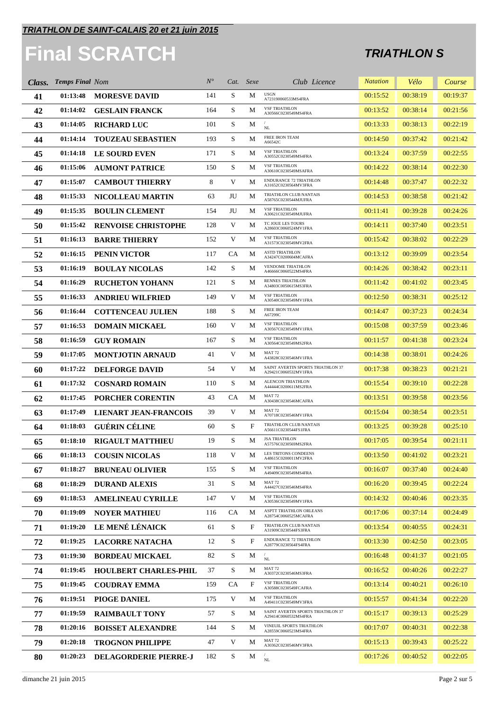## **Final SCRATCH**

| Class. | <b>Temps Final Nom</b> |                              | $N^{\circ}$ |           | Cat. Sexe | Club Licence                                              | <b>Natation</b> | Vélo     | Course   |
|--------|------------------------|------------------------------|-------------|-----------|-----------|-----------------------------------------------------------|-----------------|----------|----------|
| 41     | 01:13:48               | <b>MORESVE DAVID</b>         | 141         | S         | М         | <b>USGN</b><br>A723190060533MS4FRA                        | 00:15:52        | 00:38:19 | 00:19:37 |
| 42     | 01:14:02               | <b>GESLAIN FRANCK</b>        | 164         | S         | М         | <b>VSF TRIATHLON</b><br>A30566C0230549MS4FRA              | 00:13:52        | 00:38:14 | 00:21:56 |
| 43     | 01:14:05               | <b>RICHARD LUC</b>           | 101         | S         | М         | $\rm NL$                                                  | 00:13:33        | 00:38:13 | 00:22:19 |
| 44     | 01:14:14               | <b>TOUZEAU SEBASTIEN</b>     | 193         | S         | M         | FREE IRON TEAM<br>A66542C                                 | 00:14:50        | 00:37:42 | 00:21:42 |
| 45     | 01:14:18               | <b>LE SOURD EVEN</b>         | 171         | S         | М         | <b>VSF TRIATHLON</b><br>A30552C0230549MS4FRA              | 00:13:24        | 00:37:59 | 00:22:55 |
| 46     | 01:15:06               | <b>AUMONT PATRICE</b>        | 150         | S         | М         | <b>VSF TRIATHLON</b><br>A30610C0230549MSAFRA              | 00:14:22        | 00:38:14 | 00:22:30 |
| 47     | 01:15:07               | <b>CAMBOUT THIERRY</b>       | 8           | V         | М         | <b>ENDURANCE 72 TRIATHLON</b><br>A31652C0230564MV3FRA     | 00:14:48        | 00:37:47 | 00:22:32 |
| 48     | 01:15:33               | <b>NICOLLEAU MARTIN</b>      | 63          | JU        | М         | TRIATHLON CLUB NANTAIS<br>A58765C0230544MJUFRA            | 00:14:53        | 00:38:58 | 00:21:42 |
| 49     | 01:15:35               | <b>BOULIN CLEMENT</b>        | 154         | JU        | M         | <b>VSF TRIATHLON</b><br>A30621C0230549MJUFRA              | 00:11:41        | 00:39:28 | 00:24:26 |
| 50     | 01:15:42               | <b>RENVOISE CHRISTOPHE</b>   | 128         | V         | M         | TC JOUE LES TOURS<br>A28603C0060524MV1FRA                 | 00:14:11        | 00:37:40 | 00:23:51 |
| 51     | 01:16:13               | <b>BARRE THIERRY</b>         | 152         | V         | М         | <b>VSF TRIATHLON</b><br>A31573C0230549MV2FRA              | 00:15:42        | 00:38:02 | 00:22:29 |
| 52     | 01:16:15               | <b>PENIN VICTOR</b>          | 117         | <b>CA</b> | M         | ASTD TRIATHLON<br>A34247C0200604MCAFRA                    | 00:13:12        | 00:39:09 | 00:23:54 |
| 53     | 01:16:19               | <b>BOULAY NICOLAS</b>        | 142         | S         | М         | VENDOME TRIATHLON<br>A46666C0060522MS4FRA                 | 00:14:26        | 00:38:42 | 00:23:11 |
| 54     | 01:16:29               | <b>RUCHETON YOHANN</b>       | 121         | S         | М         | <b>RENNES TRIATHLON</b><br>A34803C0050615MS3FRA           | 00:11:42        | 00:41:02 | 00:23:45 |
| 55     | 01:16:33               | <b>ANDRIEU WILFRIED</b>      | 149         | V         | М         | <b>VSF TRIATHLON</b><br>A30540C0230549MV1FRA              | 00:12:50        | 00:38:31 | 00:25:12 |
| 56     | 01:16:44               | <b>COTTENCEAU JULIEN</b>     | 188         | S         | М         | FREE IRON TEAM<br>A67299C                                 | 00:14:47        | 00:37:23 | 00:24:34 |
| 57     | 01:16:53               | <b>DOMAIN MICKAEL</b>        | 160         | V         | М         | <b>VSF TRIATHLON</b><br>A30567C0230549MV1FRA              | 00:15:08        | 00:37:59 | 00:23:46 |
| 58     | 01:16:59               | <b>GUY ROMAIN</b>            | 167         | S         | М         | <b>VSF TRIATHLON</b><br>A30564C0230549MS2FRA              | 00:11:57        | 00:41:38 | 00:23:24 |
| 59     | 01:17:05               | MONTJOTIN ARNAUD             | 41          | V         | М         | <b>MAT 72</b><br>A43828C0230546MV1FRA                     | 00:14:38        | 00:38:01 | 00:24:26 |
| 60     | 01:17:22               | <b>DELFORGE DAVID</b>        | 54          | V         | М         | SAINT AVERTIN SPORTS TRIATHLON 37<br>A29421C0060532MV1FRA | 00:17:38        | 00:38:23 | 00:21:21 |
| 61     | 01:17:32               | <b>COSNARD ROMAIN</b>        | 110         | S         | М         | ALENCON TRIATHLON<br>A44444C0200611MS2FRA                 | 00:15:54        | 00:39:10 | 00:22:28 |
| 62     | 01:17:45               | <b>PORCHER CORENTIN</b>      | 43          | <b>CA</b> | М         | <b>MAT 72</b><br>A30438C0230546MCAFRA                     | 00:13:51        | 00:39:58 | 00:23:56 |
| 63     | 01:17:49               | <b>LIENART JEAN-FRANCOIS</b> | 39          | V         | М         | <b>MAT 72</b><br>A70718C0230546MV1FRA                     | 00:15:04        | 00:38:54 | 00:23:51 |
| 64     | 01:18:03               | <b>GUÉRIN CÉLINE</b>         | 60          | S         | F         | TRIATHLON CLUB NANTAIS<br>A56611C0230544FS1FRA            | 00:13:25        | 00:39:28 | 00:25:10 |
| 65     | 01:18:10               | <b>RIGAULT MATTHIEU</b>      | 19          | S         | М         | <b>JSA TRIATHLON</b><br>A57576C0230569MS2FRA              | 00:17:05        | 00:39:54 | 00:21:11 |
| 66     | 01:18:13               | <b>COUSIN NICOLAS</b>        | 118         | V         | M         | LES TRITONS CONDEENS<br>A48615C0200011MV2FRA              | 00:13:50        | 00:41:02 | 00:23:21 |
| 67     | 01:18:27               | <b>BRUNEAU OLIVIER</b>       | 155         | S         | М         | <b>VSF TRIATHLON</b><br>A49409C0230549MS4FRA              | 00:16:07        | 00:37:40 | 00:24:40 |
| 68     | 01:18:29               | <b>DURAND ALEXIS</b>         | 31          | S         | М         | <b>MAT 72</b><br>A44427C0230546MS4FRA                     | 00:16:20        | 00:39:45 | 00:22:24 |
| 69     | 01:18:53               | <b>AMELINEAU CYRILLE</b>     | 147         | V         | М         | <b>VSF TRIATHLON</b><br>A30536C0230549MV1FRA              | 00:14:32        | 00:40:46 | 00:23:35 |
| 70     | 01:19:09               | <b>NOYER MATHIEU</b>         | 116         | <b>CA</b> | М         | ASPTT TRIATHLON ORLEANS<br>A28754C0060525MCAFRA           | 00:17:06        | 00:37:14 | 00:24:49 |
| 71     | 01:19:20               | LE MENÉ LÉNAICK              | 61          | S         | F         | TRIATHLON CLUB NANTAIS<br>A31909C0230544FS3FRA            | 00:13:54        | 00:40:55 | 00:24:31 |
| 72     | 01:19:25               | <b>LACORRE NATACHA</b>       | 12          | S         | F         | <b>ENDURANCE 72 TRIATHLON</b><br>A28779C0230564FS4FRA     | 00:13:30        | 00:42:50 | 00:23:05 |
| 73     | 01:19:30               | <b>BORDEAU MICKAEL</b>       | 82          | S         | М         | NL                                                        | 00:16:48        | 00:41:37 | 00:21:05 |
| 74     | 01:19:45               | <b>HOULBERT CHARLES-PHIL</b> | 37          | S         | М         | MAT 72<br>A30372C0230546MS3FRA                            | 00:16:52        | 00:40:26 | 00:22:27 |
| 75     | 01:19:45               | <b>COUDRAY EMMA</b>          | 159         | CA        | F         | <b>VSF TRIATHLON</b><br>A30588C0230549FCAFRA              | 00:13:14        | 00:40:21 | 00:26:10 |
| 76     | 01:19:51               | PIOGE DANIEL                 | 175         | V         | М         | <b>VSF TRIATHLON</b><br>A49411C0230549MV3FRA              | 00:15:57        | 00:41:34 | 00:22:20 |
| 77     | 01:19:59               | <b>RAIMBAULT TONY</b>        | 57          | S         | М         | SAINT AVERTIN SPORTS TRIATHLON 37<br>A29414C0060532MS4FRA | 00:15:17        | 00:39:13 | 00:25:29 |
| 78     | 01:20:16               | <b>BOISSET ALEXANDRE</b>     | 144         | S         | М         | VINEUIL SPORTS TRIATHLON<br>A28559C0060523MS4FRA          | 00:17:07        | 00:40:31 | 00:22:38 |
| 79     | 01:20:18               | <b>TROGNON PHILIPPE</b>      | 47          | V         | М         | MAT <sub>72</sub><br>A30362C0230546MV3FRA                 | 00:15:13        | 00:39:43 | 00:25:22 |
| 80     | 01:20:23               | <b>DELAGORDERIE PIERRE-J</b> | 182         | S         | M         | $\rm NL$                                                  | 00:17:26        | 00:40:52 | 00:22:05 |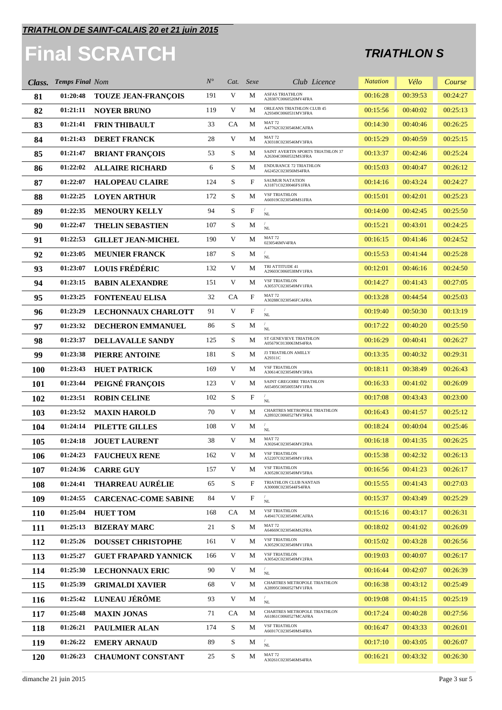## **Final SCRATCH**

| Class.     | <b>Temps Final Nom</b> |                             | $N^{\circ}$ |             | Cat. Sexe                 | Club Licence                                              | <b>Natation</b> | Vélo     | Course   |
|------------|------------------------|-----------------------------|-------------|-------------|---------------------------|-----------------------------------------------------------|-----------------|----------|----------|
| 81         | 01:20:48               | <b>TOUZE JEAN-FRANÇOIS</b>  | 191         | V           | М                         | ASFAS TRIATHLON<br>A28387C0060520MV4FRA                   | 00:16:28        | 00:39:53 | 00:24:27 |
| 82         | 01:21:11               | <b>NOYER BRUNO</b>          | 119         | $\mathbf V$ | M                         | ORLEANS TRIATHLON CLUB 45<br>A29349C0060531MV3FRA         | 00:15:56        | 00:40:02 | 00:25:13 |
| 83         | 01:21:41               | <b>FRIN THIBAULT</b>        | 33          | CA          | М                         | <b>MAT 72</b><br>A47762C0230546MCAFRA                     | 00:14:30        | 00:40:46 | 00:26:25 |
| 84         | 01:21:43               | <b>DERET FRANCK</b>         | 28          | $\mathbf V$ | М                         | MAT <sub>72</sub><br>A30318C0230546MV3FRA                 | 00:15:29        | 00:40:59 | 00:25:15 |
| 85         | 01:21:47               | <b>BRIANT FRANÇOIS</b>      | 53          | S           | М                         | SAINT AVERTIN SPORTS TRIATHLON 37<br>A26304C0060532MS3FRA | 00:13:37        | 00:42:46 | 00:25:24 |
| 86         | 01:22:02               | <b>ALLAIRE RICHARD</b>      | 6           | S           | M                         | ENDURANCE 72 TRIATHLON<br>A62452C023056MS4FRA             | 00:15:03        | 00:40:47 | 00:26:12 |
| 87         | 01:22:07               | <b>HALOPEAU CLAIRE</b>      | 124         | S           | F                         | <b>SAUMUR NATATION</b><br>A31871C0230046FS1FRA            | 00:14:16        | 00:43:24 | 00:24:27 |
| 88         | 01:22:25               | <b>LOYEN ARTHUR</b>         | 172         | S           | М                         | <b>VSF TRIATHLON</b><br>A66919C0230549MS1FRA              | 00:15:01        | 00:42:01 | 00:25:23 |
| 89         | 01:22:35               | <b>MENOURY KELLY</b>        | 94          | ${\bf S}$   | $\boldsymbol{\mathrm{F}}$ | $\rm NL$                                                  | 00:14:00        | 00:42:45 | 00:25:50 |
| 90         | 01:22:47               | <b>THELIN SEBASTIEN</b>     | 107         | S           | М                         | $\sqrt{2}$<br>$\rm NL$                                    | 00:15:21        | 00:43:01 | 00:24:25 |
| 91         | 01:22:53               | <b>GILLET JEAN-MICHEL</b>   | 190         | V           | М                         | <b>MAT 72</b><br>0230546MV4FRA                            | 00:16:15        | 00:41:46 | 00:24:52 |
| 92         | 01:23:05               | <b>MEUNIER FRANCK</b>       | 187         | ${\bf S}$   | М                         | $\rm NL$                                                  | 00:15:53        | 00:41:44 | 00:25:28 |
| 93         | 01:23:07               | <b>LOUIS FRÉDÉRIC</b>       | 132         | V           | M                         | TRI ATTITUDE 41<br>A29603C0060538MV1FRA                   | 00:12:01        | 00:46:16 | 00:24:50 |
| 94         | 01:23:15               | <b>BABIN ALEXANDRE</b>      | 151         | V           | M                         | <b>VSF TRIATHLON</b><br>A30537C0230549MV1FRA              | 00:14:27        | 00:41:43 | 00:27:05 |
| 95         | 01:23:25               | <b>FONTENEAU ELISA</b>      | 32          | <b>CA</b>   | $\boldsymbol{\mathrm{F}}$ | <b>MAT 72</b><br>A30288C0230546FCAFRA                     | 00:13:28        | 00:44:54 | 00:25:03 |
| 96         | 01:23:29               | LECHONNAUX CHARLOTT         | 91          | V           | $\boldsymbol{\mathrm{F}}$ | $\sqrt{2}$<br>$\rm NL$                                    | 00:19:40        | 00:50:30 | 00:13:19 |
| 97         | 01:23:32               | DECHERON EMMANUEL           | 86          | S           | М                         | NL                                                        | 00:17:22        | 00:40:20 | 00:25:50 |
| 98         | 01:23:37               | <b>DELLAVALLE SANDY</b>     | 125         | S           | М                         | ST GENEVIEVE TRIATHLON<br>A05679C0130063MS4FRA            | 00:16:29        | 00:40:41 | 00:26:27 |
| 99         | 01:23:38               | PIERRE ANTOINE              | 181         | S           | М                         | <b>J3 TRIATHLON AMILLY</b><br>A29311C                     | 00:13:35        | 00:40:32 | 00:29:31 |
| <b>100</b> | 01:23:43               | <b>HUET PATRICK</b>         | 169         | V           | M                         | <b>VSF TRIATHLON</b><br>A30614C0230549MV3FRA              | 00:18:11        | 00:38:49 | 00:26:43 |
| <b>101</b> | 01:23:44               | PEIGNÉ FRANÇOIS             | 123         | $\mathbf V$ | M                         | SAINT GREGOIRE TRIATHLON<br>A65495C0050055MV1FRA          | 00:16:33        | 00:41:02 | 00:26:09 |
| 102        | 01:23:51               | <b>ROBIN CELINE</b>         | 102         | S           | $_{\rm F}$                | $\rm NL$                                                  | 00:17:08        | 00:43:43 | 00:23:00 |
| 103        | 01:23:52               | <b>MAXIN HAROLD</b>         | 70          | $\mathbf V$ | М                         | CHARTRES METROPOLE TRIATHLON<br>A28932C0060527MV3FRA      | 00:16:43        | 00:41:57 | 00:25:12 |
| 104        | 01:24:14               | <b>PILETTE GILLES</b>       | 108         | V           | М                         | $\rm NL$                                                  | 00:18:24        | 00:40:04 | 00:25:46 |
| 105        | 01:24:18               | <b>JOUET LAURENT</b>        | 38          | V           | M                         | MAT <sub>72</sub><br>A30264C0230546MV2FRA                 | 00:16:18        | 00:41:35 | 00:26:25 |
| 106        | 01:24:23               | <b>FAUCHEUX RENE</b>        | 162         |             | M                         | <b>VSF TRIATHLON</b><br>A52207C0230549MV1FRA              | 00:15:38        | 00:42:32 | 00:26:13 |
| 107        | 01:24:36               | <b>CARRE GUY</b>            | 157         | V           | М                         | <b>VSF TRIATHLON</b><br>A30528C0230549MV5FRA              | 00:16:56        | 00:41:23 | 00:26:17 |
| 108        | 01:24:41               | <b>THARREAU AURÉLIE</b>     | 65          | S           | $_{\rm F}$                | TRIATHLON CLUB NANTAIS<br>A30008C0230544FS4FRA            | 00:15:55        | 00:41:43 | 00:27:03 |
| 109        | 01:24:55               | <b>CARCENAC-COME SABINE</b> | 84          | V           | F                         | $\sqrt{2}$<br>$\rm NL$                                    | 00:15:37        | 00:43:49 | 00:25:29 |
| <b>110</b> | 01:25:04               | <b>HUET TOM</b>             | 168         | <b>CA</b>   | М                         | <b>VSF TRIATHLON</b><br>A49417C0230549MCAFRA              | 00:15:16        | 00:43:17 | 00:26:31 |
| <b>111</b> | 01:25:13               | <b>BIZERAY MARC</b>         | 21          | S           | М                         | MAT <sub>72</sub><br>A64669C0230546MS2FRA                 | 00:18:02        | 00:41:02 | 00:26:09 |
| 112        | 01:25:26               | <b>DOUSSET CHRISTOPHE</b>   | 161         | V           | М                         | <b>VSF TRIATHLON</b><br>A30529C0230549MV1FRA              | 00:15:02        | 00:43:28 | 00:26:56 |
| 113        | 01:25:27               | <b>GUET FRAPARD YANNICK</b> | 166         | V           | М                         | <b>VSF TRIATHLON</b><br>A30542C0230549MV2FRA              | 00:19:03        | 00:40:07 | 00:26:17 |
| 114        | 01:25:30               | <b>LECHONNAUX ERIC</b>      | 90          | V           | M                         | $\rm NL$                                                  | 00:16:44        | 00:42:07 | 00:26:39 |
| 115        | 01:25:39               | <b>GRIMALDI XAVIER</b>      | 68          | V           | М                         | CHARTRES METROPOLE TRIATHLON<br>A28995C0060527MV1FRA      | 00:16:38        | 00:43:12 | 00:25:49 |
| 116        | 01:25:42               | LUNEAU JÉRÔME               | 93          | V           | М                         | $\rm NL$                                                  | 00:19:08        | 00:41:15 | 00:25:19 |
| 117        | 01:25:48               | <b>MAXIN JONAS</b>          | 71          | <b>CA</b>   | М                         | CHARTRES METROPOLE TRIATHLON<br>A61861C0060527MCAFRA      | 00:17:24        | 00:40:28 | 00:27:56 |
| 118        | 01:26:21               | <b>PAULMIER ALAN</b>        | 174         | S           | М                         | <b>VSF TRIATHLON</b><br>A66917C0230549MS4FRA              | 00:16:47        | 00:43:33 | 00:26:01 |
| 119        | 01:26:22               | <b>EMERY ARNAUD</b>         | 89          | S           | М                         | $\rm NL$                                                  | 00:17:10        | 00:43:05 | 00:26:07 |
| <b>120</b> | 01:26:23               | <b>CHAUMONT CONSTANT</b>    | 25          | S           | М                         | <b>MAT 72</b><br>A30261C0230546MS4FRA                     | 00:16:21        | 00:43:32 | 00:26:30 |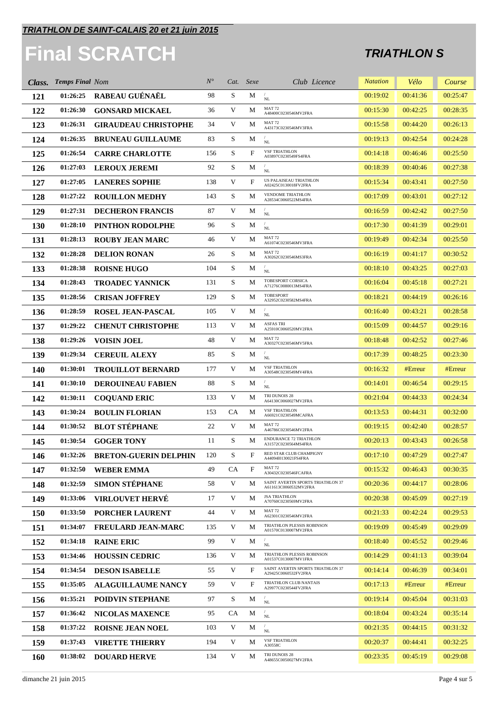# **Final SCRATCH**

| Class.     | <b>Temps Final Nom</b> |                              | $N^{\circ}$ |             | Cat. Sexe    | Club Licence                                               | <b>Natation</b> | Vélo     | Course   |
|------------|------------------------|------------------------------|-------------|-------------|--------------|------------------------------------------------------------|-----------------|----------|----------|
| 121        | 01:26:25               | RABEAU GUÉNAËL               | 98          | S           | М            | NL                                                         | 00:19:02        | 00:41:36 | 00:25:47 |
| 122        | 01:26:30               | <b>GONSARD MICKAEL</b>       | 36          | V           | M            | MAT <sub>72</sub><br>A48400C0230546MV2FRA                  | 00:15:30        | 00:42:25 | 00:28:35 |
| 123        | 01:26:31               | <b>GIRAUDEAU CHRISTOPHE</b>  | 34          | V           | M            | MAT <sub>72</sub><br>A43173C0230546MV3FRA                  | 00:15:58        | 00:44:20 | 00:26:13 |
| 124        | 01:26:35               | <b>BRUNEAU GUILLAUME</b>     | 83          | S           | М            | NL                                                         | 00:19:13        | 00:42:54 | 00:24:28 |
| 125        | 01:26:54               | <b>CARRE CHARLOTTE</b>       | 156         | S           | $\mathbf{F}$ | <b>VSF TRIATHLON</b><br>A03897C0230549FS4FRA               | 00:14:18        | 00:46:46 | 00:25:50 |
| 126        | 01:27:03               | <b>LEROUX JEREMI</b>         | 92          | S           | М            | NL                                                         | 00:18:39        | 00:40:46 | 00:27:38 |
| 127        | 01:27:05               | <b>LANERES SOPHIE</b>        | 138         | V           | F            | US PALAISEAU TRIATHLON<br>A02425C0130018FV2FRA             | 00:15:34        | 00:43:41 | 00:27:50 |
| 128        | 01:27:22               | <b>ROUILLON MEDHY</b>        | 143         | S           | М            | <b>VENDOME TRIATHLON</b><br>A28534C0060522MS4FRA           | 00:17:09        | 00:43:01 | 00:27:12 |
| 129        | 01:27:31               | <b>DECHERON FRANCIS</b>      | 87          | V           | М            | $\rm NL$                                                   | 00:16:59        | 00:42:42 | 00:27:50 |
| <b>130</b> | 01:28:10               | PINTHON RODOLPHE             | 96          | S           | М            | $\rm NL$                                                   | 00:17:30        | 00:41:39 | 00:29:01 |
| 131        | 01:28:13               | <b>ROUBY JEAN MARC</b>       | 46          | V           | М            | <b>MAT 72</b><br>A61074C0230546MV3FRA                      | 00:19:49        | 00:42:34 | 00:25:50 |
| 132        | 01:28:28               | <b>DELION RONAN</b>          | 26          | S           | M            | <b>MAT 72</b><br>A30262C0230546MS3FRA                      | 00:16:19        | 00:41:17 | 00:30:52 |
| 133        | 01:28:38               | <b>ROISNE HUGO</b>           | 104         | S           | М            | $\rm NL$                                                   | 00:18:10        | 00:43:25 | 00:27:03 |
| 134        | 01:28:43               | <b>TROADEC YANNICK</b>       | 131         | S           | M            | TOBESPORT CORSICA<br>A71276C0080013MS4FRA                  | 00:16:04        | 00:45:18 | 00:27:21 |
| 135        | 01:28:56               | <b>CRISAN JOFFREY</b>        | 129         | S           | M            | <b>TOBESPORT</b><br>A32952C0230582MS4FRA                   | 00:18:21        | 00:44:19 | 00:26:16 |
| 136        | 01:28:59               | <b>ROSEL JEAN-PASCAL</b>     | 105         | V           | M            | $\rm NL$                                                   | 00:16:40        | 00:43:21 | 00:28:58 |
| 137        | 01:29:22               | <b>CHENUT CHRISTOPHE</b>     | 113         | V           | М            | <b>ASFAS TRI</b><br>A25910C0060520MV2FRA                   | 00:15:09        | 00:44:57 | 00:29:16 |
| 138        | 01:29:26               | <b>VOISIN JOEL</b>           | 48          | V           | M            | MAT 72<br>A30327C0230546MV5FRA                             | 00:18:48        | 00:42:52 | 00:27:46 |
| 139        | 01:29:34               | <b>CEREUIL ALEXY</b>         | 85          | $\mathbf S$ | M            | $\rm NL$                                                   | 00:17:39        | 00:48:25 | 00:23:30 |
| <b>140</b> | 01:30:01               | <b>TROUILLOT BERNARD</b>     | 177         | V           | M            | <b>VSF TRIATHLON</b><br>A30548C0230549MV4FRA               | 00:16:32        | #Erreur  | #Erreur  |
| 141        | 01:30:10               | <b>DEROUINEAU FABIEN</b>     | 88          | S           | M            | $\rm NL$                                                   | 00:14:01        | 00:46:54 | 00:29:15 |
| 142        | 01:30:11               | <b>COQUAND ERIC</b>          | 133         | V           | M            | TRI DUNOIS 28<br>A64130C0060027MV2FRA                      | 00:21:04        | 00:44:33 | 00:24:34 |
| 143        | 01:30:24               | <b>BOULIN FLORIAN</b>        | 153         | <b>CA</b>   | М            | <b>VSF TRIATHLON</b><br>A66921C0230549MCAFRA               | 00:13:53        | 00:44:31 | 00:32:00 |
| 144        | 01:30:52               | <b>BLOT STÉPHANE</b>         | 22          | V           | M            | <b>MAT 72</b><br>A46786C0230546MV2FRA                      | 00:19:15        | 00:42:40 | 00:28:57 |
| 145        | 01:30:54               | <b>GOGER TONY</b>            | 11          | S           | M            | <b>ENDURANCE 72 TRIATHLON</b><br>A31572C0230564MS4FRA      | 00:20:13        | 00:43:43 | 00:26:58 |
| 146        | 01:32:26               | <b>BRETON-GUERIN DELPHIN</b> | 120         | S           | F            | RED STAR CLUB CHAMPIGNY<br>A4409410130021FS4FRA            | 00:17:10        | 00:47:29 | 00:27:47 |
| 147        | 01:32:50               | <b>WEBER EMMA</b>            | 49          | <b>CA</b>   | F            | <b>MAT 72</b><br>A30432C0230546FCAFRA                      | 00:15:32        | 00:46:43 | 00:30:35 |
| 148        | 01:32:59               | <b>SIMON STÉPHANE</b>        | 58          | V           | М            | SAINT AVERTIN SPORTS TRIATHLON 37<br>A611613C0060532MV2FRA | 00:20:36        | 00:44:17 | 00:28:06 |
| 149        | 01:33:06               | <b>VIRLOUVET HERVÉ</b>       | 17          | V           | M            | <b>JSA TRIATHLON</b><br>A70760C0230569MV2FRA               | 00:20:38        | 00:45:09 | 00:27:19 |
| 150        | 01:33:50               | PORCHER LAURENT              | 44          | V           | М            | MAT <sub>72</sub><br>A62301C0230546MV2FRA                  | 00:21:33        | 00:42:24 | 00:29:53 |
| 151        | 01:34:07               | <b>FREULARD JEAN-MARC</b>    | 135         | V           | М            | TRIATHLON PLESSIS ROBINSON<br>A01570C0130007MV2FRA         | 00:19:09        | 00:45:49 | 00:29:09 |
| 152        | 01:34:18               | <b>RAINE ERIC</b>            | 99          | V           | М            | NL                                                         | 00:18:40        | 00:45:52 | 00:29:46 |
| 153        | 01:34:46               | <b>HOUSSIN CEDRIC</b>        | 136         | V           | M            | TRIATHLON PLESSIS ROBINSON<br>A01537C0130007MV1FRA         | 00:14:29        | 00:41:13 | 00:39:04 |
| 154        | 01:34:54               | <b>DESON ISABELLE</b>        | 55          | V           | $\mathbf{F}$ | SAINT AVERTIN SPORTS TRIATHLON 37<br>A29425C0060532FV2FRA  | 00:14:14        | 00:46:39 | 00:34:01 |
| 155        | 01:35:05               | <b>ALAGUILLAUME NANCY</b>    | 59          | V           | $\mathbf{F}$ | TRIATHLON CLUB NANTAIS<br>A29977C0230544FV2FRA             | 00:17:13        | #Error   | #Erreur  |
| 156        | 01:35:21               | POIDVIN STEPHANE             | 97          | S           | М            | $\prime$<br>$\rm NL$                                       | 00:19:14        | 00:45:04 | 00:31:03 |
| 157        | 01:36:42               | <b>NICOLAS MAXENCE</b>       | 95          | CA          | М            | $\rm NL$                                                   | 00:18:04        | 00:43:24 | 00:35:14 |
| 158        | 01:37:22               | <b>ROISNE JEAN NOEL</b>      | 103         | V           | М            | NL                                                         | 00:21:35        | 00:44:15 | 00:31:32 |
| 159        | 01:37:43               | <b>VIRETTE THIERRY</b>       | 194         | V           | М            | <b>VSF TRIATHLON</b><br>A30558C                            | 00:20:37        | 00:44:41 | 00:32:25 |
| <b>160</b> | 01:38:02               | <b>DOUARD HERVE</b>          | 134         | V           | M            | TRI DUNOIS 28<br>A48655C0050027MV2FRA                      | 00:23:35        | 00:45:19 | 00:29:08 |